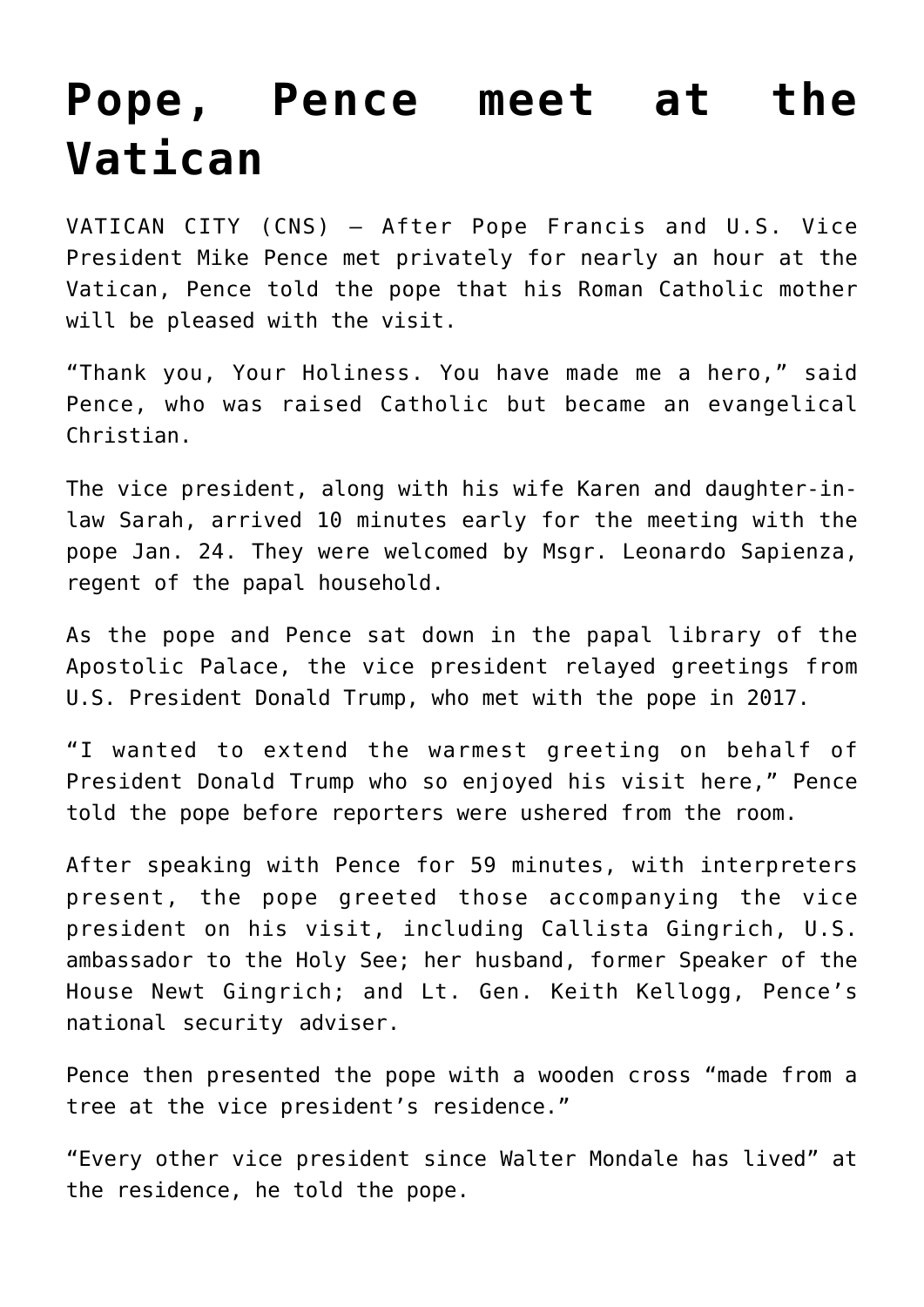## **[Pope, Pence meet at the](https://www.osvnews.com/2020/01/24/pope-pence-meet-at-the-vatican/) [Vatican](https://www.osvnews.com/2020/01/24/pope-pence-meet-at-the-vatican/)**

VATICAN CITY (CNS) — After Pope Francis and U.S. Vice President Mike Pence met privately for nearly an hour at the Vatican, Pence told the pope that his Roman Catholic mother will be pleased with the visit.

"Thank you, Your Holiness. You have made me a hero," said Pence, who was raised Catholic but became an evangelical Christian.

The vice president, along with his wife Karen and daughter-inlaw Sarah, arrived 10 minutes early for the meeting with the pope Jan. 24. They were welcomed by Msgr. Leonardo Sapienza, regent of the papal household.

As the pope and Pence sat down in the papal library of the Apostolic Palace, the vice president relayed greetings from U.S. President Donald Trump, who met with the pope in 2017.

"I wanted to extend the warmest greeting on behalf of President Donald Trump who so enjoyed his visit here," Pence told the pope before reporters were ushered from the room.

After speaking with Pence for 59 minutes, with interpreters present, the pope greeted those accompanying the vice president on his visit, including Callista Gingrich, U.S. ambassador to the Holy See; her husband, former Speaker of the House Newt Gingrich; and Lt. Gen. Keith Kellogg, Pence's national security adviser.

Pence then presented the pope with a wooden cross "made from a tree at the vice president's residence."

"Every other vice president since Walter Mondale has lived" at the residence, he told the pope.